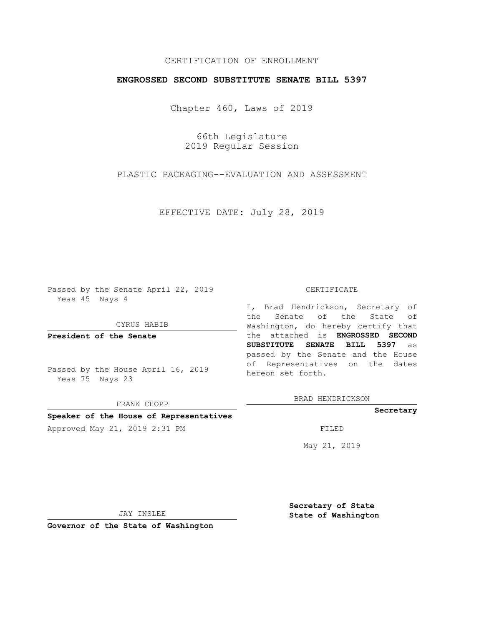## CERTIFICATION OF ENROLLMENT

## **ENGROSSED SECOND SUBSTITUTE SENATE BILL 5397**

Chapter 460, Laws of 2019

66th Legislature 2019 Regular Session

PLASTIC PACKAGING--EVALUATION AND ASSESSMENT

EFFECTIVE DATE: July 28, 2019

Passed by the Senate April 22, 2019 Yeas 45 Nays 4

CYRUS HABIB

**President of the Senate**

Passed by the House April 16, 2019 Yeas 75 Nays 23

FRANK CHOPP

#### **Speaker of the House of Representatives**

Approved May 21, 2019 2:31 PM

#### CERTIFICATE

I, Brad Hendrickson, Secretary of the Senate of the State of Washington, do hereby certify that the attached is **ENGROSSED SECOND SUBSTITUTE SENATE BILL 5397** as passed by the Senate and the House of Representatives on the dates hereon set forth.

BRAD HENDRICKSON

#### **Secretary**

May 21, 2019

JAY INSLEE

**Governor of the State of Washington**

**Secretary of State State of Washington**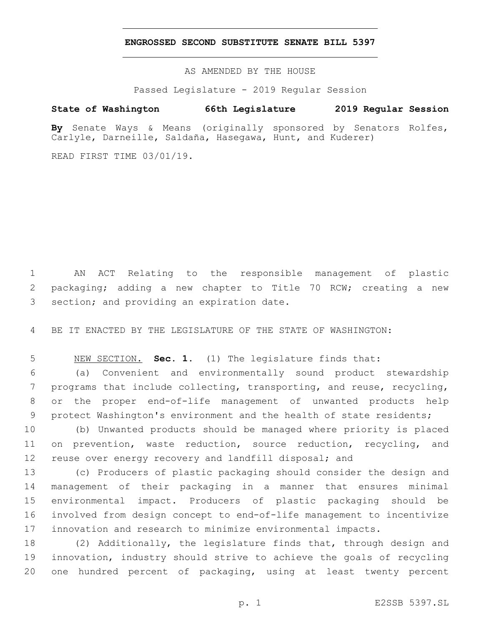### **ENGROSSED SECOND SUBSTITUTE SENATE BILL 5397**

AS AMENDED BY THE HOUSE

Passed Legislature - 2019 Regular Session

# **State of Washington 66th Legislature 2019 Regular Session**

**By** Senate Ways & Means (originally sponsored by Senators Rolfes, Carlyle, Darneille, Saldaña, Hasegawa, Hunt, and Kuderer)

READ FIRST TIME 03/01/19.

 AN ACT Relating to the responsible management of plastic packaging; adding a new chapter to Title 70 RCW; creating a new 3 section; and providing an expiration date.

BE IT ENACTED BY THE LEGISLATURE OF THE STATE OF WASHINGTON:

NEW SECTION. **Sec. 1.** (1) The legislature finds that:

 (a) Convenient and environmentally sound product stewardship programs that include collecting, transporting, and reuse, recycling, or the proper end-of-life management of unwanted products help protect Washington's environment and the health of state residents;

 (b) Unwanted products should be managed where priority is placed on prevention, waste reduction, source reduction, recycling, and 12 reuse over energy recovery and landfill disposal; and

 (c) Producers of plastic packaging should consider the design and management of their packaging in a manner that ensures minimal environmental impact. Producers of plastic packaging should be involved from design concept to end-of-life management to incentivize innovation and research to minimize environmental impacts.

 (2) Additionally, the legislature finds that, through design and innovation, industry should strive to achieve the goals of recycling one hundred percent of packaging, using at least twenty percent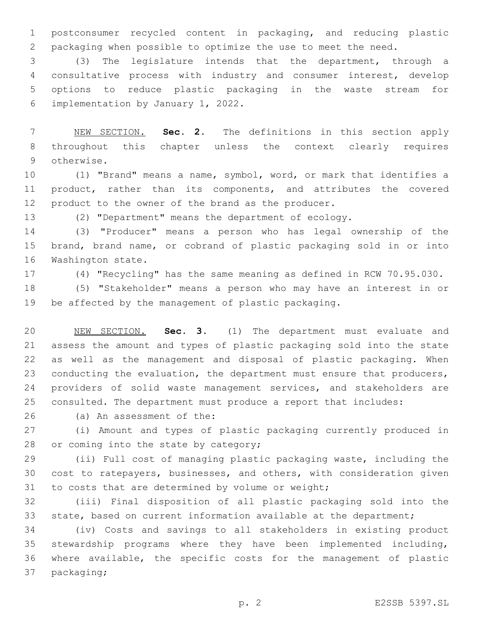postconsumer recycled content in packaging, and reducing plastic packaging when possible to optimize the use to meet the need.

 (3) The legislature intends that the department, through a consultative process with industry and consumer interest, develop options to reduce plastic packaging in the waste stream for 6 implementation by January 1, 2022.

 NEW SECTION. **Sec. 2.** The definitions in this section apply throughout this chapter unless the context clearly requires otherwise.

 (1) "Brand" means a name, symbol, word, or mark that identifies a product, rather than its components, and attributes the covered product to the owner of the brand as the producer.

(2) "Department" means the department of ecology.

 (3) "Producer" means a person who has legal ownership of the brand, brand name, or cobrand of plastic packaging sold in or into 16 Washington state.

(4) "Recycling" has the same meaning as defined in RCW 70.95.030.

 (5) "Stakeholder" means a person who may have an interest in or be affected by the management of plastic packaging.

 NEW SECTION. **Sec. 3.** (1) The department must evaluate and assess the amount and types of plastic packaging sold into the state as well as the management and disposal of plastic packaging. When 23 conducting the evaluation, the department must ensure that producers, 24 providers of solid waste management services, and stakeholders are consulted. The department must produce a report that includes:

26 (a) An assessment of the:

 (i) Amount and types of plastic packaging currently produced in 28 or coming into the state by category;

 (ii) Full cost of managing plastic packaging waste, including the cost to ratepayers, businesses, and others, with consideration given 31 to costs that are determined by volume or weight;

 (iii) Final disposition of all plastic packaging sold into the state, based on current information available at the department;

 (iv) Costs and savings to all stakeholders in existing product stewardship programs where they have been implemented including, where available, the specific costs for the management of plastic 37 packaging;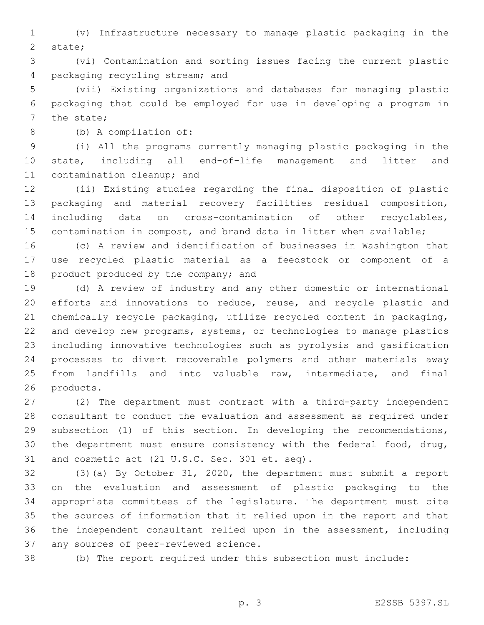(v) Infrastructure necessary to manage plastic packaging in the 2 state;

 (vi) Contamination and sorting issues facing the current plastic 4 packaging recycling stream; and

 (vii) Existing organizations and databases for managing plastic packaging that could be employed for use in developing a program in 7 the state;

(b) A compilation of:8

 (i) All the programs currently managing plastic packaging in the state, including all end-of-life management and litter and 11 contamination cleanup; and

 (ii) Existing studies regarding the final disposition of plastic packaging and material recovery facilities residual composition, including data on cross-contamination of other recyclables, contamination in compost, and brand data in litter when available;

 (c) A review and identification of businesses in Washington that use recycled plastic material as a feedstock or component of a 18 product produced by the company; and

 (d) A review of industry and any other domestic or international 20 efforts and innovations to reduce, reuse, and recycle plastic and chemically recycle packaging, utilize recycled content in packaging, and develop new programs, systems, or technologies to manage plastics including innovative technologies such as pyrolysis and gasification processes to divert recoverable polymers and other materials away from landfills and into valuable raw, intermediate, and final 26 products.

 (2) The department must contract with a third-party independent consultant to conduct the evaluation and assessment as required under subsection (1) of this section. In developing the recommendations, the department must ensure consistency with the federal food, drug, 31 and cosmetic act (21 U.S.C. Sec. 301 et. seq).

 (3)(a) By October 31, 2020, the department must submit a report on the evaluation and assessment of plastic packaging to the appropriate committees of the legislature. The department must cite the sources of information that it relied upon in the report and that the independent consultant relied upon in the assessment, including 37 any sources of peer-reviewed science.

(b) The report required under this subsection must include: